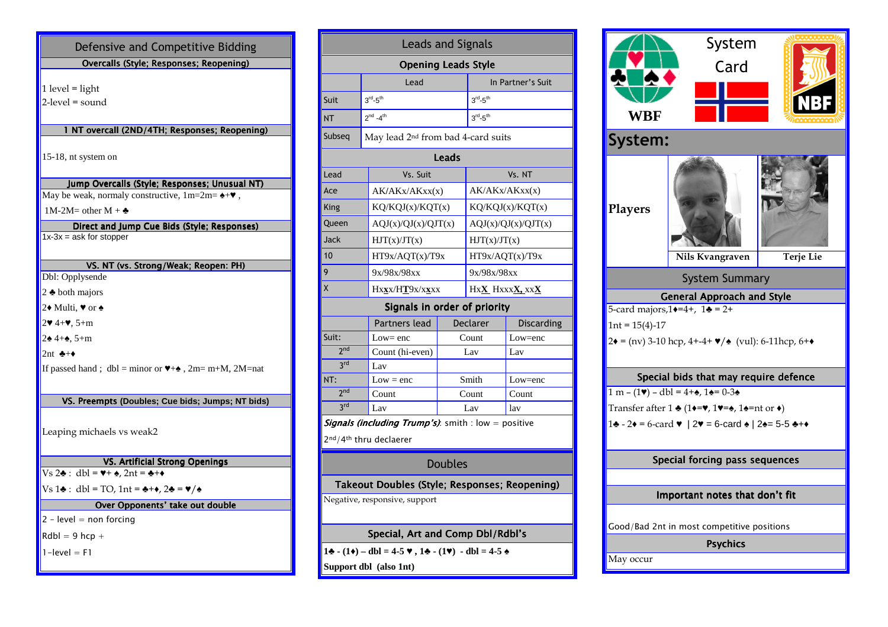| Defensive and Competitive Bidding                                                                               |  |  |  |  |  |
|-----------------------------------------------------------------------------------------------------------------|--|--|--|--|--|
| Overcalls (Style; Responses; Reopening)                                                                         |  |  |  |  |  |
| 1 level = light<br>$2$ -level = sound                                                                           |  |  |  |  |  |
| 1 NT overcall (2ND/4TH; Responses; Reopening)                                                                   |  |  |  |  |  |
| 15-18, nt system on                                                                                             |  |  |  |  |  |
| Jump Overcalls (Style; Responses; Unusual NT)                                                                   |  |  |  |  |  |
| May be weak, normaly constructive, $1m=2m=$ $\triangle + \blacktriangledown$ ,                                  |  |  |  |  |  |
| 1M-2M= other M + $\clubsuit$                                                                                    |  |  |  |  |  |
| Direct and Jump Cue Bids (Style; Responses)                                                                     |  |  |  |  |  |
| $1x-3x = ask for stopper$                                                                                       |  |  |  |  |  |
|                                                                                                                 |  |  |  |  |  |
| VS. NT (vs. Strong/Weak; Reopen: PH)                                                                            |  |  |  |  |  |
| Dbl: Opplysende                                                                                                 |  |  |  |  |  |
| 2 $\bullet$ both majors                                                                                         |  |  |  |  |  |
| 2♦ Multi, $\blacktriangledown$ or $\triangle$                                                                   |  |  |  |  |  |
| $2*4+25+m$                                                                                                      |  |  |  |  |  |
| $2\spadesuit$ 4+ $\spadesuit$ , 5+m                                                                             |  |  |  |  |  |
| 2nt $\clubsuit$ + $\blacklozenge$                                                                               |  |  |  |  |  |
| If passed hand; dbl = minor or $\Psi$ + $\Phi$ , 2m= m+M, 2M=nat                                                |  |  |  |  |  |
|                                                                                                                 |  |  |  |  |  |
| VS. Preempts (Doubles; Cue bids; Jumps; NT bids)                                                                |  |  |  |  |  |
|                                                                                                                 |  |  |  |  |  |
| Leaping michaels vs weak2                                                                                       |  |  |  |  |  |
| <b>VS. Artificial Strong Openings</b>                                                                           |  |  |  |  |  |
| $Vs 2\clubsuit$ : dbl = $\Psi + \spadesuit$ , 2nt = $\clubsuit + \spadesuit$                                    |  |  |  |  |  |
| $Vs 1\clubsuit$ : dbl = TO, 1nt = $\clubsuit$ + $\spadesuit$ , 2 $\spadesuit$ = $\blacktriangledown/\spadesuit$ |  |  |  |  |  |
| Over Opponents' take out double                                                                                 |  |  |  |  |  |
| $2 - level = non forcing$                                                                                       |  |  |  |  |  |
| $Rdbl = 9 hcp +$                                                                                                |  |  |  |  |  |
| $1$ -level = F1                                                                                                 |  |  |  |  |  |
|                                                                                                                 |  |  |  |  |  |

| <b>Leads and Signals</b>                      |            |                                                     |           |                     |                   |  |  |  |  |
|-----------------------------------------------|------------|-----------------------------------------------------|-----------|---------------------|-------------------|--|--|--|--|
| <b>Opening Leads Style</b>                    |            |                                                     |           |                     |                   |  |  |  |  |
|                                               |            | Lead                                                |           | In Partner's Suit   |                   |  |  |  |  |
| Suit                                          |            | $3rd - 5th$                                         |           | $3rd-5th$           |                   |  |  |  |  |
| <b>NT</b>                                     |            | $2^{nd} - 4^{th}$                                   | $3rd-5th$ |                     |                   |  |  |  |  |
| Subseq                                        |            | May lead 2 <sup>nd</sup> from bad 4-card suits      |           |                     |                   |  |  |  |  |
| Leads                                         |            |                                                     |           |                     |                   |  |  |  |  |
| Lead                                          |            | Vs. Suit                                            |           | Vs. NT              |                   |  |  |  |  |
| Ace                                           |            | AK/AKx/AKxx(x)                                      |           | AK/AKx/AKxx(x)      |                   |  |  |  |  |
| King                                          |            | KQ/KQJ(x)/KQT(x)                                    |           | KQ/KQJ(x)/KQT(x)    |                   |  |  |  |  |
| Queen                                         |            | AQJ(x)/QJ(x)/QJT(x)                                 |           | AQJ(x)/QJ(x)/QJT(x) |                   |  |  |  |  |
| Jack                                          |            | HJT(x)/JT(x)                                        |           | HJT(x)/JT(x)        |                   |  |  |  |  |
| 10                                            |            | HT9x/AQT(x)/T9x                                     |           | HT9x/AQT(x)/T9x     |                   |  |  |  |  |
| 9                                             |            | 9x/98x/98xx                                         |           | 9x/98x/98xx         |                   |  |  |  |  |
| X                                             |            | Hxxx/HT9x/xxxx                                      |           | HxX HxxxX, xxX      |                   |  |  |  |  |
|                                               |            | Signals in order of priority                        |           |                     |                   |  |  |  |  |
|                                               |            | Partners lead                                       | Declarer  |                     | <b>Discarding</b> |  |  |  |  |
| Suit:                                         |            | $Low = enc$                                         | Count     |                     | Low=enc           |  |  |  |  |
| 2 <sub>nd</sub>                               |            | Count (hi-even)                                     |           | Lav                 | Lav               |  |  |  |  |
| 3rd                                           |            | Lav                                                 |           |                     |                   |  |  |  |  |
| NT:                                           |            | $Low = enc$                                         |           | Smith               | Low=enc           |  |  |  |  |
| 2 <sub>nd</sub>                               |            | Count                                               |           | Count               | Count             |  |  |  |  |
|                                               | 3rd<br>Lav |                                                     | Lav       | lav                 |                   |  |  |  |  |
|                                               |            | Signals (including Trump's): smith : low = positive |           |                     |                   |  |  |  |  |
| 2nd/4th thru declaerer                        |            |                                                     |           |                     |                   |  |  |  |  |
| <b>Doubles</b>                                |            |                                                     |           |                     |                   |  |  |  |  |
| Takeout Doubles (Style; Responses; Reopening) |            |                                                     |           |                     |                   |  |  |  |  |
| Negative, responsive, support                 |            |                                                     |           |                     |                   |  |  |  |  |
| Special, Art and Comp Dbl/Rdbl's              |            |                                                     |           |                     |                   |  |  |  |  |

 $1\div(-1) - \text{dbl} = 4.5 \times 1\div(-1) - \text{dbl} = 4.5 \div 1$ 

**Support dbl (also 1nt)** 

| WBF                                                                                                                                                         | System<br>Card                                                                                                                   |                  |  |  |  |  |  |
|-------------------------------------------------------------------------------------------------------------------------------------------------------------|----------------------------------------------------------------------------------------------------------------------------------|------------------|--|--|--|--|--|
| System:                                                                                                                                                     |                                                                                                                                  |                  |  |  |  |  |  |
| Players                                                                                                                                                     |                                                                                                                                  |                  |  |  |  |  |  |
|                                                                                                                                                             | Nils Kvangraven                                                                                                                  | <b>Terje</b> Lie |  |  |  |  |  |
| <b>System Summary</b>                                                                                                                                       |                                                                                                                                  |                  |  |  |  |  |  |
|                                                                                                                                                             | <b>General Approach and Style</b>                                                                                                |                  |  |  |  |  |  |
|                                                                                                                                                             | 5-card majors, $1 \div 4 +$ , $1 \div 2 +$                                                                                       |                  |  |  |  |  |  |
| $1nt = 15(4)-17$<br>$2\bullet$ = (nv) 3-10 hcp, 4+-4+ $\blacktriangledown/\blacktriangle$ (vul): 6-11hcp, 6+ $\blacklozenge$                                |                                                                                                                                  |                  |  |  |  |  |  |
|                                                                                                                                                             | Special bids that may require defence                                                                                            |                  |  |  |  |  |  |
|                                                                                                                                                             | $1 m - (1 \cdot ) - d b = 4 + 4, 1 \cdot = 0.34$                                                                                 |                  |  |  |  |  |  |
|                                                                                                                                                             | Transfer after $1 \triangleq (1 \rightarrow \rightarrow 1 \rightarrow \rightarrow 1 \rightarrow \rightarrow n$ or $\rightarrow)$ |                  |  |  |  |  |  |
| $1\clubsuit - 2\spadesuit = 6$ -card $\blacktriangledown$   2 $\blacktriangledown$ = 6-card $\spadesuit$   2 $\spadesuit$ = 5-5 $\spadesuit$ + $\spadesuit$ |                                                                                                                                  |                  |  |  |  |  |  |
| Special forcing pass sequences                                                                                                                              |                                                                                                                                  |                  |  |  |  |  |  |
|                                                                                                                                                             |                                                                                                                                  |                  |  |  |  |  |  |
| Important notes that don't fit                                                                                                                              |                                                                                                                                  |                  |  |  |  |  |  |
| Good/Bad 2nt in most competitive positions                                                                                                                  |                                                                                                                                  |                  |  |  |  |  |  |
| <b>Psychics</b>                                                                                                                                             |                                                                                                                                  |                  |  |  |  |  |  |
| May occur                                                                                                                                                   |                                                                                                                                  |                  |  |  |  |  |  |